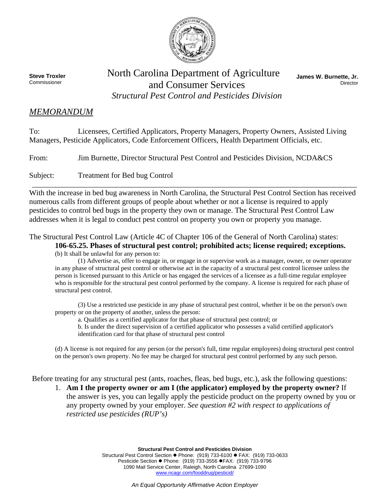

**Steve Troxler**  Commissioner

## North Carolina Department of Agriculture and Consumer Services *Structural Pest Control and Pesticides Division*

**James W. Burnette, Jr.**  Director

## *MEMORANDUM*

To: Licensees, Certified Applicators, Property Managers, Property Owners, Assisted Living Managers, Pesticide Applicators, Code Enforcement Officers, Health Department Officials, etc.

From: Jim Burnette, Director Structural Pest Control and Pesticides Division, NCDA&CS

Subject: Treatment for Bed bug Control

With the increase in bed bug awareness in North Carolina, the Structural Pest Control Section has received numerous calls from different groups of people about whether or not a license is required to apply pesticides to control bed bugs in the property they own or manage. The Structural Pest Control Law addresses when it is legal to conduct pest control on property you own or property you manage.

\_\_\_\_\_\_\_\_\_\_\_\_\_\_\_\_\_\_\_\_\_\_\_\_\_\_\_\_\_\_\_\_\_\_\_\_\_\_\_\_\_\_\_\_\_\_\_\_\_\_\_\_\_\_\_\_\_\_\_\_\_\_\_\_\_\_\_\_\_\_\_\_\_\_\_\_\_\_\_\_\_\_\_\_\_

The Structural Pest Control Law (Article 4C of Chapter 106 of the General of North Carolina) states:

**106-65.25. Phases of structural pest control; prohibited acts; license required; exceptions.**  (b) It shall be unlawful for any person to:

(1) Advertise as, offer to engage in, or engage in or supervise work as a manager, owner, or owner operator in any phase of structural pest control or otherwise act in the capacity of a structural pest control licensee unless the person is licensed pursuant to this Article or has engaged the services of a licensee as a full-time regular employee who is responsible for the structural pest control performed by the company. A license is required for each phase of structural pest control.

(3) Use a restricted use pesticide in any phase of structural pest control, whether it be on the person's own property or on the property of another, unless the person:

a. Qualifies as a certified applicator for that phase of structural pest control; or

b. Is under the direct supervision of a certified applicator who possesses a valid certified applicator's identification card for that phase of structural pest control

(d) A license is not required for any person (or the person's full, time regular employees) doing structural pest control on the person's own property. No fee may be charged for structural pest control performed by any such person.

Before treating for any structural pest (ants, roaches, fleas, bed bugs, etc.), ask the following questions:

1. **Am I the property owner or am I (the applicator) employed by the property owner?** If the answer is yes, you can legally apply the pesticide product on the property owned by you or any property owned by your employer. *See question #2 with respect to applications of restricted use pesticides (RUP's)* 

> **Structural Pest Control and Pesticides Division** Structural Pest Control Section · Phone: (919) 733-6100 · FAX: (919) 733-0633 Pesticide Section ● Phone: (919) 733-3556 ● FAX: (919) 733-9796 1090 Mail Service Center, Raleigh, North Carolina 27699-1090 www.ncagr.com/fooddrug/pesticid/